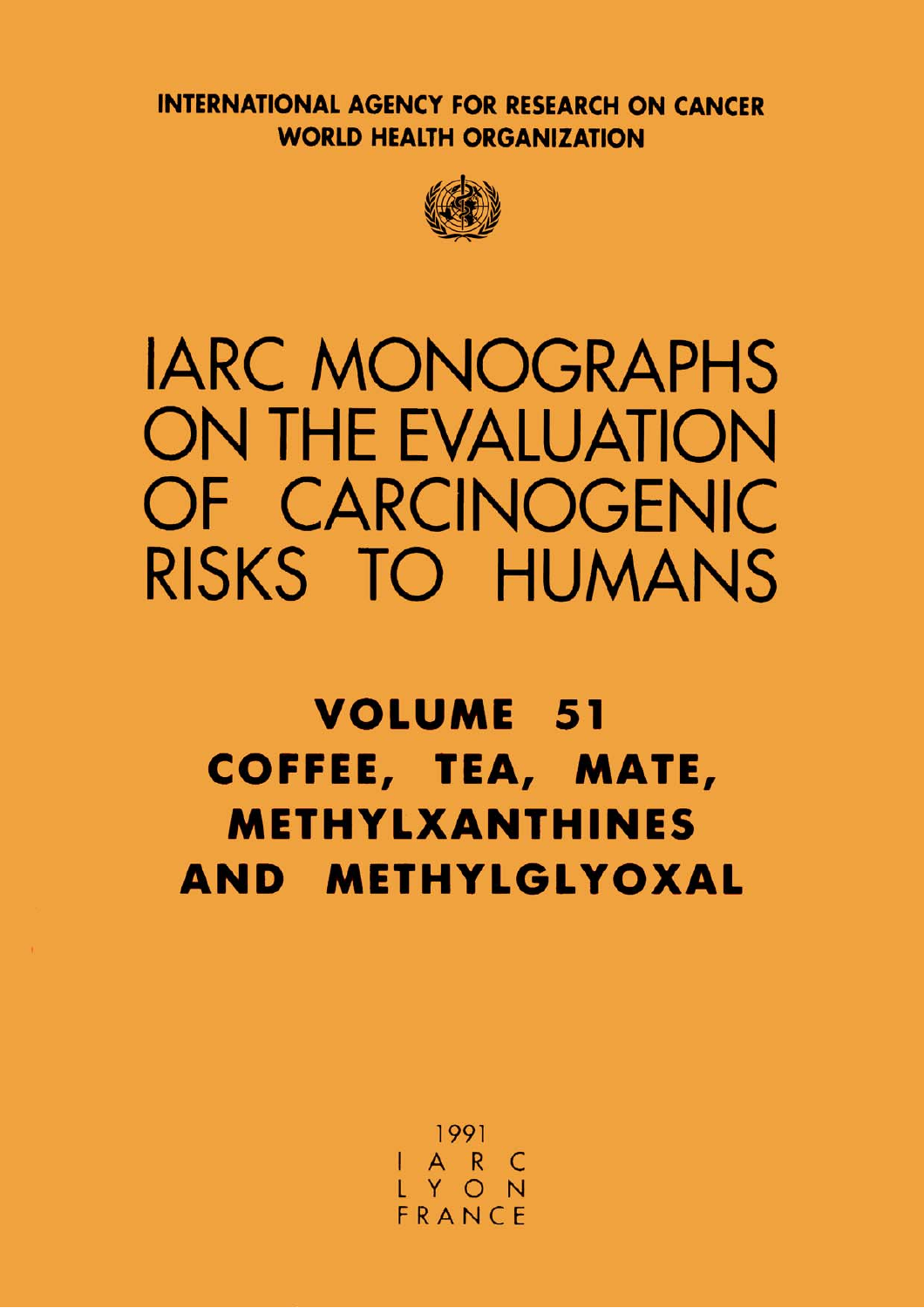**INTERNATIONAL AGENCY FOR RESEARCH ON CANCER WORLD HEALTH ORGANIZATION** 



# **IARC MONOGRAPHS ON THE EVALUATION** OF CARCINOGENIC RISKS TO HUMANS

## **VOLUME 51** COFFEE, TEA, MATE, **METHYLXANTHINES** AND METHYLGLYOXAL

1991 I A R C<br>L Y O N FRANCE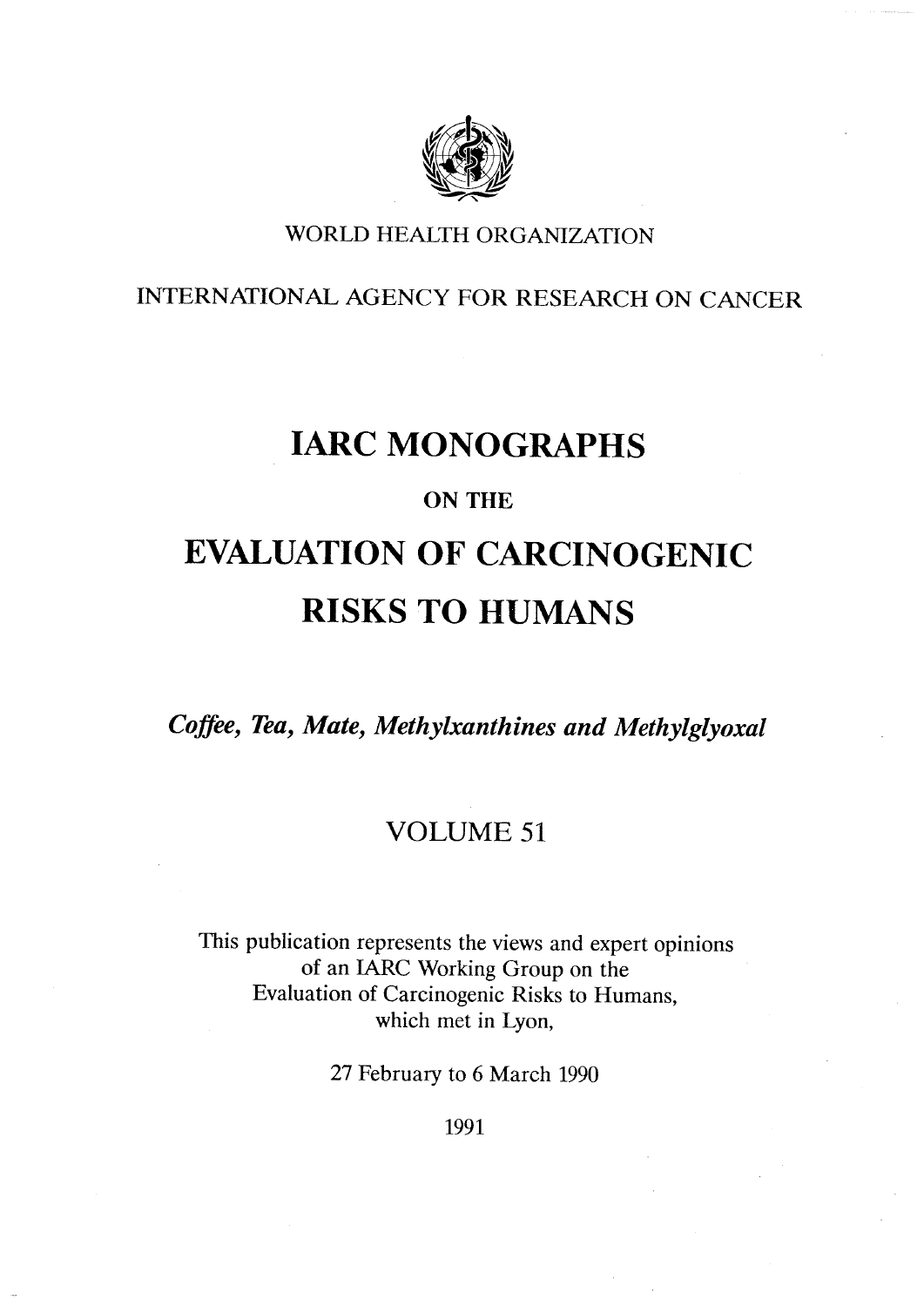

#### WORLD HEALTH ORGANIZATION

INTERNATIONAL AGENCY FOR RESEARCH ON CANCER

### IARC MONOGRAPHS

#### ON THE

### EVALUATION OF CARCINOGENIC RISKS TO HUMANS

Coffee, Tea, Mate, Methylxanthines and Methylglyoxal

#### VOLUME 51

This publication represents the views and expert opinions of an IARC Working Group on the Evaluation of Carcinogenic Risks to Humans, which met in Lyon,

27 February to 6 March 1990

1991